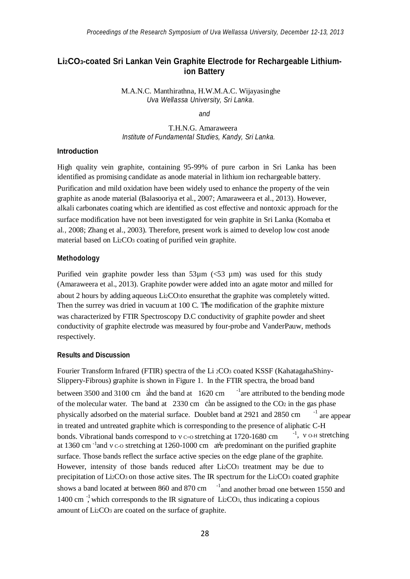# **Li2CO3-coated Sri Lankan Vein Graphite Electrode for Rechargeable Lithiumion Battery**

M.A.N.C. Manthirathna, H.W.M.A.C. Wijayasinghe *Uva Wellassa University, Sri Lanka.*

*and*

T.H.N.G. Amaraweera *Institute of Fundamental Studies, Kandy, Sri Lanka.*

# **Introduction**

High quality vein graphite, containing 95-99% of pure carbon in Sri Lanka has been identified as promising candidate as anode material in lithium ion rechargeable battery.

Purification and mild oxidation have been widely used to enhance the property of the vein graphite as anode material (Balasooriya et al., 2007; Amaraweera et al., 2013). However, alkali carbonates coating which are identified as cost effective and nontoxic approach for the surface modification have not been investigated for vein graphite in Sri Lanka (Komaba et al*.,* 2008; Zhang et al., 2003). Therefore, present work is aimed to develop low cost anode material based on Li2CO<sup>3</sup> coating of purified vein graphite.

#### **Methodology**

Then the surrey was dried in vacuum at 100 C. The modification of the graphite mixture Purified vein graphite powder less than  $53\mu m$  ( $53 \mu m$ ) was used for this study (Amaraweera et al., 2013). Graphite powder were added into an agate motor and milled for about 2 hours by adding aqueous Li2CO3to ensurethat the graphite was completely witted. was characterized by FTIR Spectroscopy D.C conductivity of graphite powder and sheet conductivity of graphite electrode was measured by four-probe and VanderPauw, methods respectively.

## **Results and Discussion**

shows a band located at between 860 and 870 cm  $^{-1}$  and another broad one between 1550 and bonds. Vibrational bands correspond to  $v = 0$  stretching at 1720-1680 cm physically adsorbed on the material surface. Doublet band at 2921 and 2850 cm between 3500 and 3100 cm  $\frac{1}{4}$  and the band at 1620 cm  $\frac{1}{4}$  are attributed to the bending mode <sup>-1</sup>, *v* о-н stretching -1 are appear 1400 cm<sup>-1</sup>, which corresponds to the IR signature of Li<sub>2</sub>CO<sub>3</sub>, thus indicating a copious amount of Li2CO<sup>3</sup> are coated on the surface of graphite. of the molecular water. The band at 2330 cm  $\dot{c}$  and be assigned to the CO<sub>2</sub> in the gas phase in treated and untreated graphite which is corresponding to the presence of aliphatic C-H at 1360 cm<sup>-1</sup> and  $v \circ$  stretching at 1260-1000 cm are predominant on the purified graphite Fourier Transform Infrared (FTIR) spectra of the Li <sup>2</sup>CO<sup>3</sup> coated KSSF (KahatagahaShiny-Slippery-Fibrous) graphite is shown in Figure 1. In the FTIR spectra, the broad band surface. Those bands reflect the surface active species on the edge plane of the graphite. However, intensity of those bands reduced after Li<sub>2</sub>CO<sub>3</sub> treatment may be due to precipitation of Li2CO<sub>3</sub> on those active sites. The IR spectrum for the Li<sub>2</sub>CO<sub>3</sub> coated graphite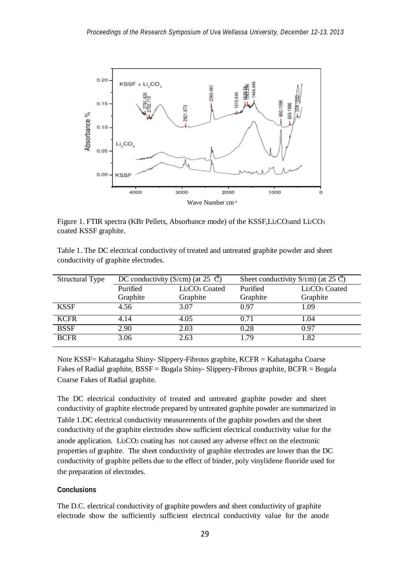

Figure 1. FTIR spectra (KBr Pellets, Absorbance mode) of the KSSF, Li2CO3and Li2CO3 coated KSSF graphite.

| Table 1. The DC electrical conductivity of treated and untreated graphite powder and sheet |  |  |  |  |
|--------------------------------------------------------------------------------------------|--|--|--|--|
| conductivity of graphite electrodes.                                                       |  |  |  |  |

| <b>Structural Type</b> | DC conductivity (S/cm) (at 25 $\degree$ C) |                                        | Sheet conductivity S/cm) (at 25 $\mathcal{C}$ ) |                                        |  |  |
|------------------------|--------------------------------------------|----------------------------------------|-------------------------------------------------|----------------------------------------|--|--|
|                        | Purified                                   | Li <sub>2</sub> CO <sub>3</sub> Coated | Purified                                        | Li <sub>2</sub> CO <sub>3</sub> Coated |  |  |
|                        | Graphite                                   | Graphite                               | Graphite                                        | Graphite                               |  |  |
| <b>KSSF</b>            | 4.56                                       | 3.07                                   | 0.97                                            | 1.09                                   |  |  |
| <b>KCFR</b>            | 4.14                                       | 4.05                                   | 0.71                                            | 1.04                                   |  |  |
| <b>BSSF</b>            | 2.90                                       | 2.03                                   | 0.28                                            | 0.97                                   |  |  |
| <b>BCFR</b>            | 3.06                                       | 2.63                                   | 1.79                                            | 1.82                                   |  |  |

Note KSSF= Kahatagaha Shiny- Slippery-Fibrous graphite, KCFR = Kahatagaha Coarse Fakes of Radial graphite, BSSF = Bogala Shiny- Slippery-Fibrous graphite, BCFR = Bogala Coarse Fakes of Radial graphite.

The DC electrical conductivity of treated and untreated graphite powder and sheet conductivity of graphite electrode prepared by untreated graphite powder are summarized in Table 1.DC electrical conductivity measurements of the graphite powders and the sheet conductivity of the graphite electrodes show sufficient electrical conductivity value for the anode application. Li2CO<sup>3</sup> coating has not caused any adverse effect on the electronic properties of graphite. The sheet conductivity of graphite electrodes are lower than the DC conductivity of graphite pellets due to the effect of binder, poly vinylidene fluoride used for the preparation of electrodes.

### **Conclusions**

The D.C. electrical conductivity of graphite powders and sheet conductivity of graphite electrode show the sufficiently sufficient electrical conductivity value for the anode